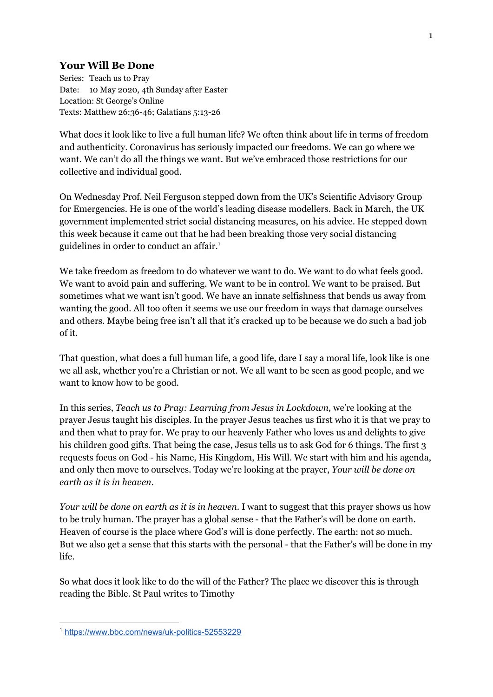## **Your Will Be Done**

Series: Teach us to Pray Date: 10 May 2020, 4th Sunday after Easter Location: St George's Online Texts: Matthew 26:36-46; Galatians 5:13-26

What does it look like to live a full human life? We often think about life in terms of freedom and authenticity. Coronavirus has seriously impacted our freedoms. We can go where we want. We can't do all the things we want. But we've embraced those restrictions for our collective and individual good.

On Wednesday Prof. Neil Ferguson stepped down from the UK's Scientific Advisory Group for Emergencies. He is one of the world's leading disease modellers. Back in March, the UK government implemented strict social distancing measures, on his advice. He stepped down this week because it came out that he had been breaking those very social distancing guidelines in order to conduct an affair. 1

We take freedom as freedom to do whatever we want to do. We want to do what feels good. We want to avoid pain and suffering. We want to be in control. We want to be praised. But sometimes what we want isn't good. We have an innate selfishness that bends us away from wanting the good. All too often it seems we use our freedom in ways that damage ourselves and others. Maybe being free isn't all that it's cracked up to be because we do such a bad job of it.

That question, what does a full human life, a good life, dare I say a moral life, look like is one we all ask, whether you're a Christian or not. We all want to be seen as good people, and we want to know how to be good.

In this series, *Teach us to Pray: Learning from Jesus in Lockdown,* we're looking at the prayer Jesus taught his disciples. In the prayer Jesus teaches us first who it is that we pray to and then what to pray for. We pray to our heavenly Father who loves us and delights to give his children good gifts. That being the case, Jesus tells us to ask God for 6 things. The first 3 requests focus on God - his Name, His Kingdom, His Will. We start with him and his agenda, and only then move to ourselves. Today we're looking at the prayer, *Your will be done on earth as it is in heaven.*

*Your will be done on earth as it is in heaven.* I want to suggest that this prayer shows us how to be truly human. The prayer has a global sense - that the Father's will be done on earth. Heaven of course is the place where God's will is done perfectly. The earth: not so much. But we also get a sense that this starts with the personal - that the Father's will be done in my life.

So what does it look like to do the will of the Father? The place we discover this is through reading the Bible. St Paul writes to Timothy

<sup>1</sup> <https://www.bbc.com/news/uk-politics-52553229>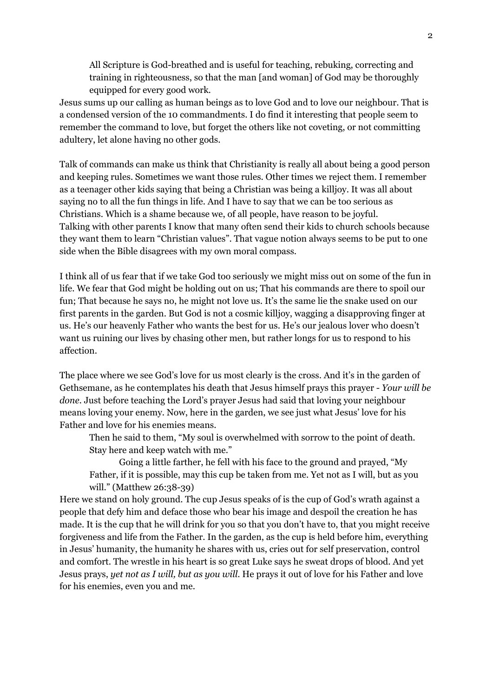All Scripture is God-breathed and is useful for teaching, rebuking, correcting and training in righteousness, so that the man [and woman] of God may be thoroughly equipped for every good work.

Jesus sums up our calling as human beings as to love God and to love our neighbour. That is a condensed version of the 10 commandments. I do find it interesting that people seem to remember the command to love, but forget the others like not coveting, or not committing adultery, let alone having no other gods.

Talk of commands can make us think that Christianity is really all about being a good person and keeping rules. Sometimes we want those rules. Other times we reject them. I remember as a teenager other kids saying that being a Christian was being a killjoy. It was all about saying no to all the fun things in life. And I have to say that we can be too serious as Christians. Which is a shame because we, of all people, have reason to be joyful. Talking with other parents I know that many often send their kids to church schools because they want them to learn "Christian values". That vague notion always seems to be put to one side when the Bible disagrees with my own moral compass.

I think all of us fear that if we take God too seriously we might miss out on some of the fun in life. We fear that God might be holding out on us; That his commands are there to spoil our fun; That because he says no, he might not love us. It's the same lie the snake used on our first parents in the garden. But God is not a cosmic killjoy, wagging a disapproving finger at us. He's our heavenly Father who wants the best for us. He's our jealous lover who doesn't want us ruining our lives by chasing other men, but rather longs for us to respond to his affection.

The place where we see God's love for us most clearly is the cross. And it's in the garden of Gethsemane, as he contemplates his death that Jesus himself prays this prayer - *Your will be done.* Just before teaching the Lord's prayer Jesus had said that loving your neighbour means loving your enemy. Now, here in the garden, we see just what Jesus' love for his Father and love for his enemies means.

Then he said to them, "My soul is overwhelmed with sorrow to the point of death. Stay here and keep watch with me."

Going a little farther, he fell with his face to the ground and prayed, "My Father, if it is possible, may this cup be taken from me. Yet not as I will, but as you will." (Matthew 26:38-39)

Here we stand on holy ground. The cup Jesus speaks of is the cup of God's wrath against a people that defy him and deface those who bear his image and despoil the creation he has made. It is the cup that he will drink for you so that you don't have to, that you might receive forgiveness and life from the Father. In the garden, as the cup is held before him, everything in Jesus' humanity, the humanity he shares with us, cries out for self preservation, control and comfort. The wrestle in his heart is so great Luke says he sweat drops of blood. And yet Jesus prays, *yet not as I will, but as you will*. He prays it out of love for his Father and love for his enemies, even you and me.